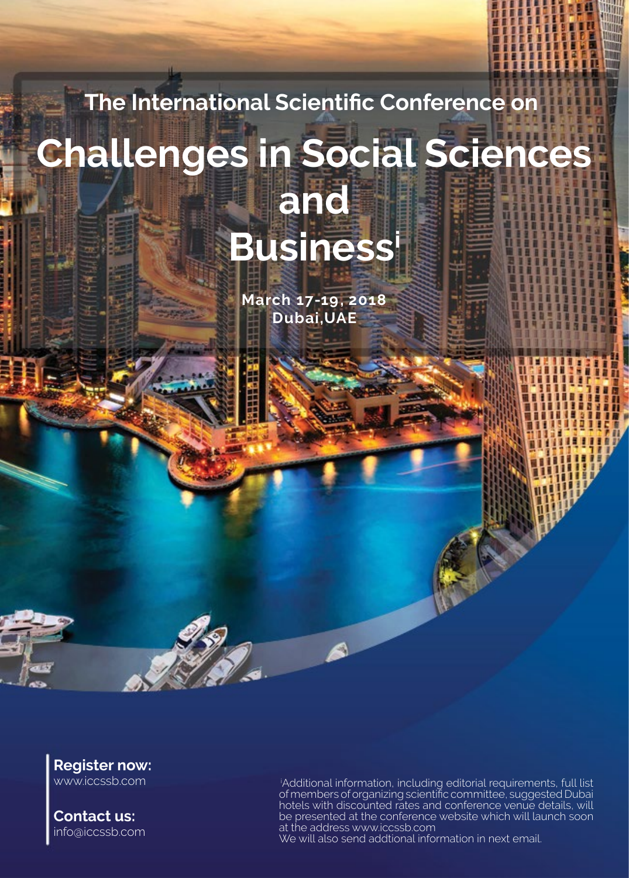# **The International Scientific Conference on Challenges in Social Sciences and Business<sup>i</sup>**

**2018 17-19, March Dubai, UAE** 

**Register now:** www.iccssb.com

**Contact us:** info@iccssb.com

iAdditional information, including editorial requirements, full list of members of organizing scientific committee, suggested Dubai hotels with discounted rates and conference venue details, will be presented at the conference website which will launch soon at the address www.iccssb.com We will also send addtional information in next email.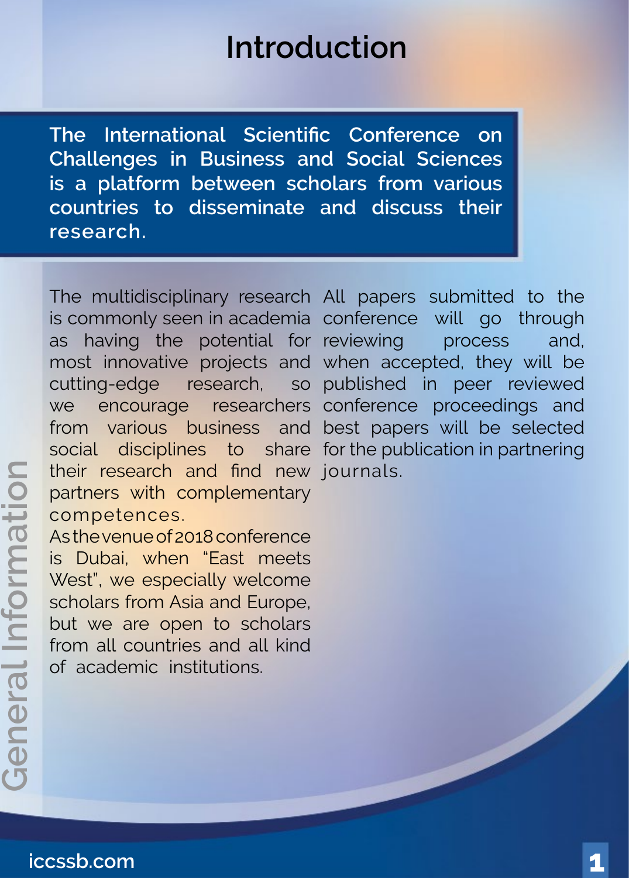## **Introduction**

**The International Scientific Conference on Challenges in Business and Social Sciences** is a platform between scholars from various countries to disseminate and discuss their **.research**

The multidisciplinary research All papers submitted to the is commonly seen in academia conference will go through as having the potential for reviewing process and, most innovative projects and when accepted, they will be cutting-edge research, we encourage from various business social disciplines to share for the publication in partnering their research and find new journals. partners with complementary .competences

As the venue of 2018 conference is Dubai, when "East meets West", we especially welcome scholars from Asia and Europe, but we are open to scholars from all countries and all kind of academic institutions.

so published in peer reviewed researchers conference proceedings and and best papers will be selected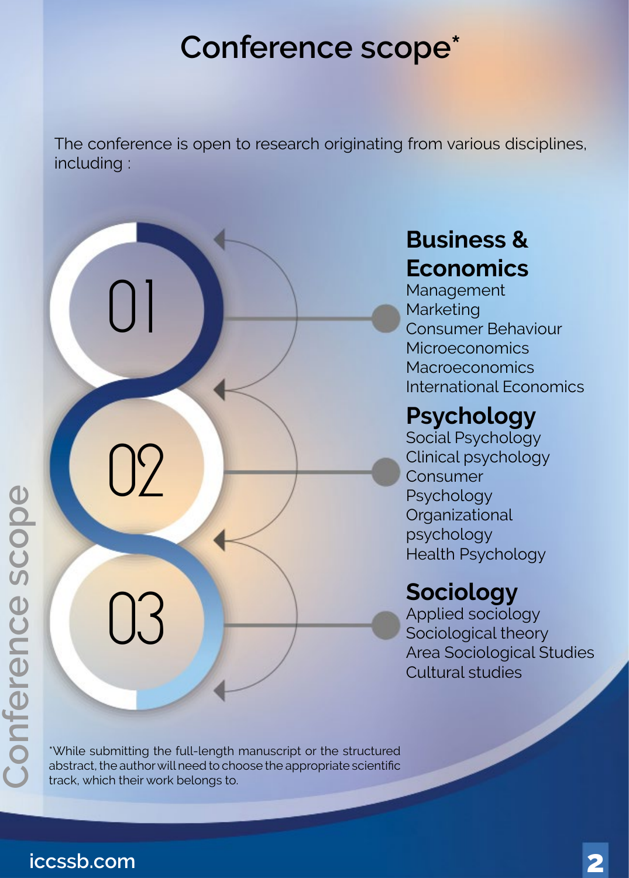## Conference scope<sup>\*</sup>

The conference is open to research originating from various disciplines, : including

# 01  $\gamma$ 03

#### **& Business Economics**

Management Marketing Consumer Behaviour **Microeconomics Macroeconomics** International Economics

#### **Psychology**

Social Psychology Clinical psychology Consumer Psychology **Organizational** psychology **Health Psychology** 

#### **Sociology**

Applied sociology Sociological theory Area Sociological Studies Cultural studies

\*While submitting the full-length manuscript or the structured abstract, the author will need to choose the appropriate scientific track, which their work belongs to.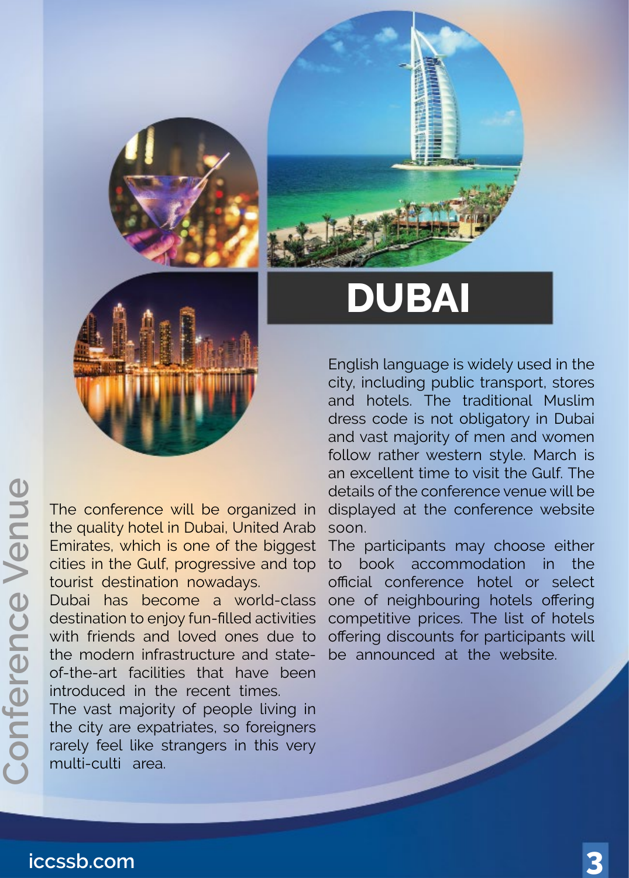

## **DUBAI**

English language is widely used in the city, including public transport, stores and hotels. The traditional Muslim dress code is not obligatory in Dubai and vast majority of men and women follow rather western style. March is an excellent time to visit the Gulf. The details of the conference venue will be displayed at the conference website soon.

The participants may choose either to book accommodation in the official conference hotel or select one of neighbouring hotels offering competitive prices. The list of hotels offering discounts for participants will be announced at the website.

The conference will be organized in the quality hotel in Dubai, United Arab Emirates, which is one of the biggest cities in the Gulf, progressive and top tourist destination nowadays.

Dubai has become a world-class destination to enjoy fun-filled activities with friends and loved ones due to the modern infrastructure and state-<br>of-the-art facilities that have been introduced in the recent times.

The vast majority of people living in the city are expatriates, so foreigners rarely feel like strangers in this very multi-culti area.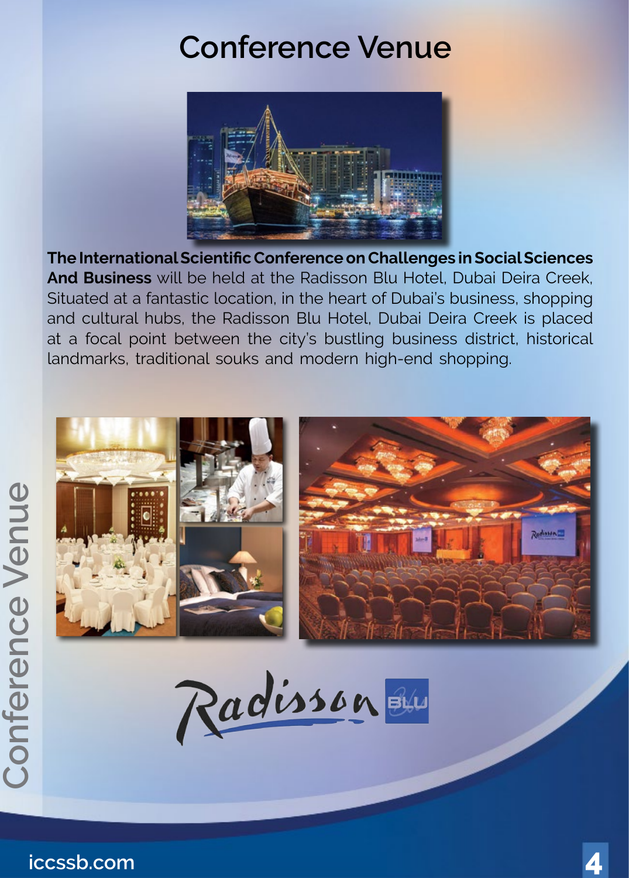## **Conference Venue**



**The International Scientific Conference on Challenges in Social Sciences** And Business will be held at the Radisson Blu Hotel, Dubai Deira Creek, Situated at a fantastic location, in the heart of Dubai's business, shopping and cultural hubs, the Radisson Blu Hotel, Dubai Deira Creek is placed at a focal point between the city's bustling business district, historical landmarks, traditional souks and modern high-end shopping.



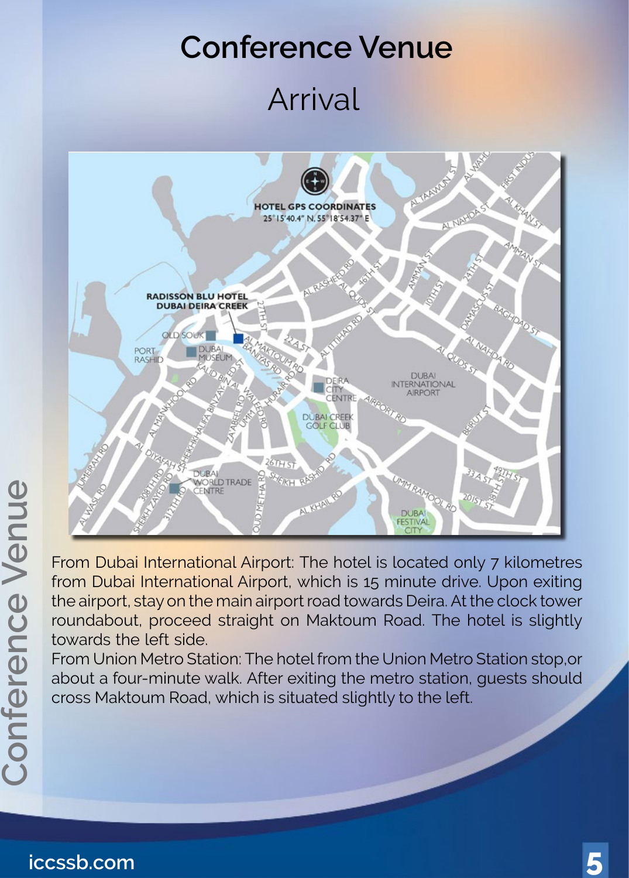## **Conference Venue**

## Arrival



From Dubai International Airport: The hotel is located only 7 kilometres from Dubai International Airport, which is 15 minute drive. Upon exiting the airport, stay on the main airport road towards Deira. At the clock tower roundabout, proceed straight on Maktoum Road. The hotel is slightly towards the left side.

From Union Metro Station: The hotel from the Union Metro Station stop, or about a four-minute walk. After exiting the metro station, guests should cross Maktoum Road, which is situated slightly to the left.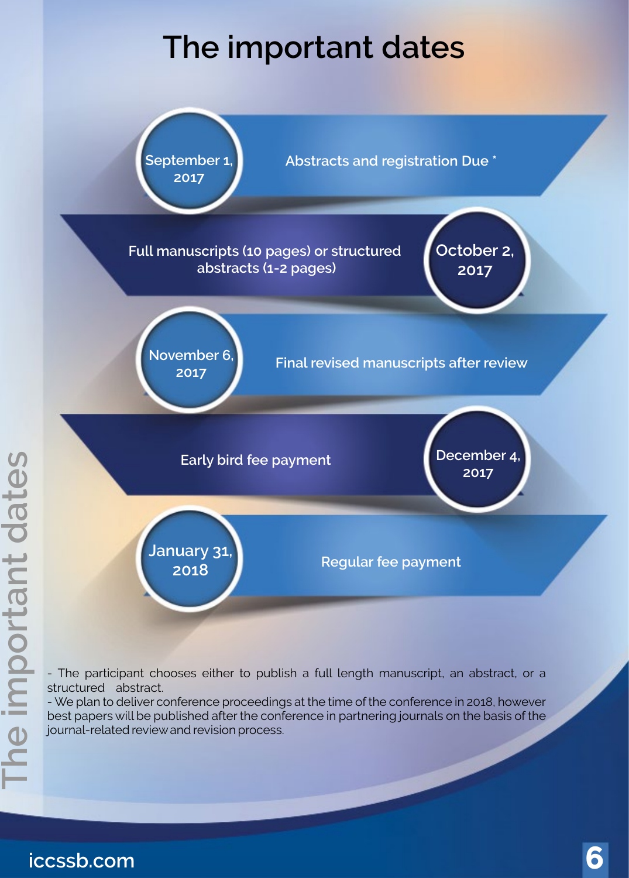## **The important dates**



- The participant chooses either to publish a full length manuscript, an abstract, or a structured abstract.

- We plan to deliver conference proceedings at the time of the conference in 2018, however best papers will be published after the conference in partnering journals on the basis of the journal-related review and revision process.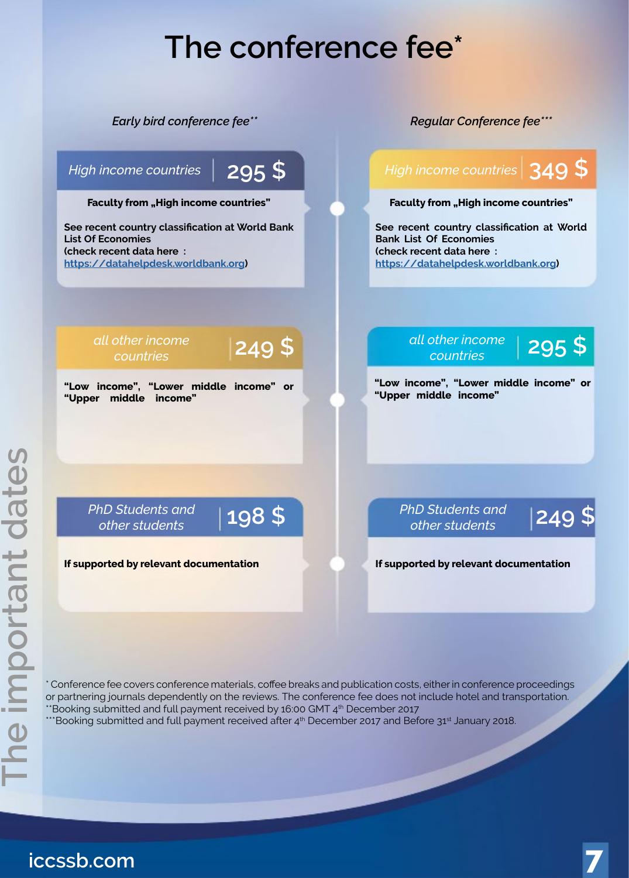## The conference fee<sup>\*</sup>



\* Conference fee covers conference materials, coffee breaks and publication costs, either in conference proceedings or partnering journals dependently on the reviews. The conference fee does not include hotel and transportation. <sup>\*\*</sup>Booking submitted and full payment received by 16:00 GMT 4<sup>th</sup> December 2017

 $\cdots$ Booking submitted and full payment received after  $4^{\text{th}}$  December 2017 and Before 31st January 2018.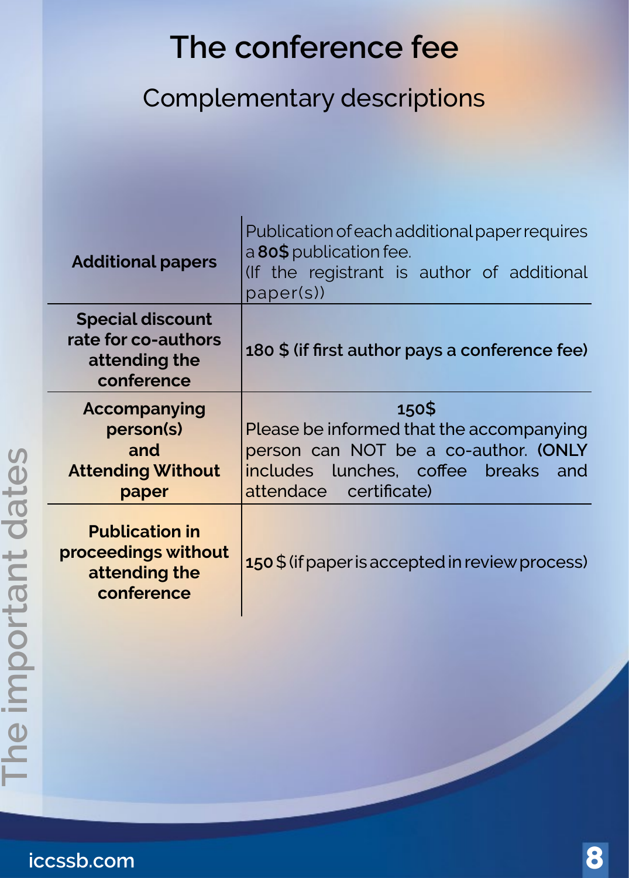## The conference fee

#### Complementary descriptions

| <b>Additional papers</b>                                                      | Publication of each additional paper requires<br>a 80\$ publication fee.<br>(If the registrant is author of additional<br>paper(s))                        |
|-------------------------------------------------------------------------------|------------------------------------------------------------------------------------------------------------------------------------------------------------|
| <b>Special discount</b><br>rate for co-authors<br>attending the<br>conference | 180 \$ (if first author pays a conference fee)                                                                                                             |
| Accompanying<br>person(s)<br>and<br><b>Attending Without</b><br>paper         | 150\$<br>Please be informed that the accompanying<br>person can NOT be a co-author. (ONLY<br>includes lunches, coffee breaks and<br>attendace certificate) |
| <b>Publication in</b><br>proceedings without<br>attending the<br>conference   | 150 \$ (if paper is accepted in review process)                                                                                                            |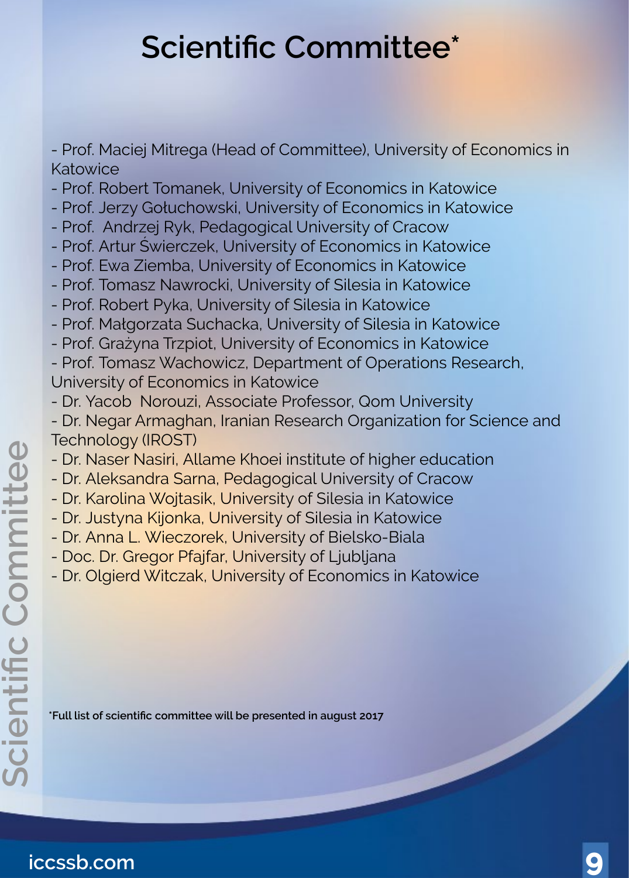## **Scientific Committee\***

- Prof. Maciej Mitrega (Head of Committee), University of Economics in Katowice

- Prof. Robert Tomanek, University of Economics in Katowice
- Prof. Jerzy Gołuchowski, University of Economics in Katowice
- Prof. Andrzej Ryk, Pedagogical University of Cracow
- Prof. Artur Świerczek, University of Economics in Katowice
- Prof. Ewa Ziemba, University of Economics in Katowice
- Prof. Tomasz Nawrocki, University of Silesia in Katowice
- Prof. Robert Pyka, University of Silesia in Katowice
- Prof. Małgorzata Suchacka, University of Silesia in Katowice
- Prof. Grażyna Trzpiot, University of Economics in Katowice
- Prof. Tomasz Wachowicz, Department of Operations Research, University of Economics in Katowice
- Dr. Yacob Norouzi, Associate Professor, Qom University
- Dr. Negar Armaghan, Iranian Research Organization for Science and Technology (IROST)
- Dr. Naser Nasiri, Allame Khoei institute of higher education
- Dr. Aleksandra Sarna, Pedagogical University of Cracow
- Dr. Karolina Wojtasik, University of Silesia in Katowice
- Dr. Justyna Kijonka, University of Silesia in Katowice
- Dr. Anna L. Wieczorek, University of Bielsko-Biala
- Doc. Dr. Gregor Pfajfar, University of Ljubljana
- Dr. Olgierd Witczak, University of Economics in Katowice

<sup>\*</sup>**Full list of scientific committee will be presented in august 2017**